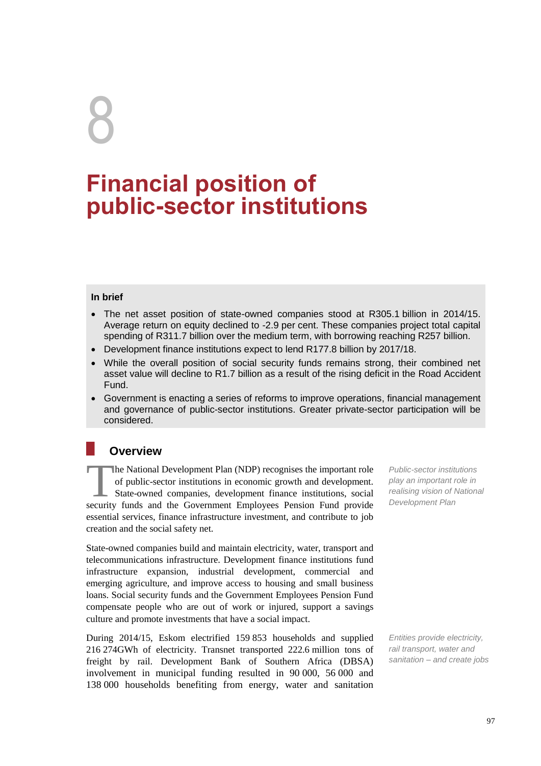# 8

# **Financial position of public-sector institutions**

#### **In brief**

- The net asset position of state-owned companies stood at R305.1 billion in 2014/15. Average return on equity declined to -2.9 per cent. These companies project total capital spending of R311.7 billion over the medium term, with borrowing reaching R257 billion.
- Development finance institutions expect to lend R177.8 billion by 2017/18.
- While the overall position of social security funds remains strong, their combined net asset value will decline to R1.7 billion as a result of the rising deficit in the Road Accident Fund.
- Government is enacting a series of reforms to improve operations, financial management and governance of public-sector institutions. Greater private-sector participation will be considered.

# **Overview**

he National Development Plan (NDP) recognises the important role of public-sector institutions in economic growth and development. State-owned companies, development finance institutions, social security funds and the Government Employees Pension Fund provide essential services, finance infrastructure investment, and contribute to job creation and the social safety net. **realising vision of public-sector institutions of public-sector institutions in economic growth and development.<br>
<b>State-owned companies, development finance institutions, social** *realising vision of National* **security** 

State-owned companies build and maintain electricity, water, transport and telecommunications infrastructure. Development finance institutions fund infrastructure expansion, industrial development, commercial and emerging agriculture, and improve access to housing and small business loans. Social security funds and the Government Employees Pension Fund compensate people who are out of work or injured, support a savings culture and promote investments that have a social impact.

During 2014/15, Eskom electrified 159 853 households and supplied 216 274GWh of electricity. Transnet transported 222.6 million tons of freight by rail. Development Bank of Southern Africa (DBSA) involvement in municipal funding resulted in 90 000, 56 000 and 138 000 households benefiting from energy, water and sanitation

*Public-sector institutions play an important role in Development Plan*

*Entities provide electricity, rail transport, water and sanitation – and create jobs*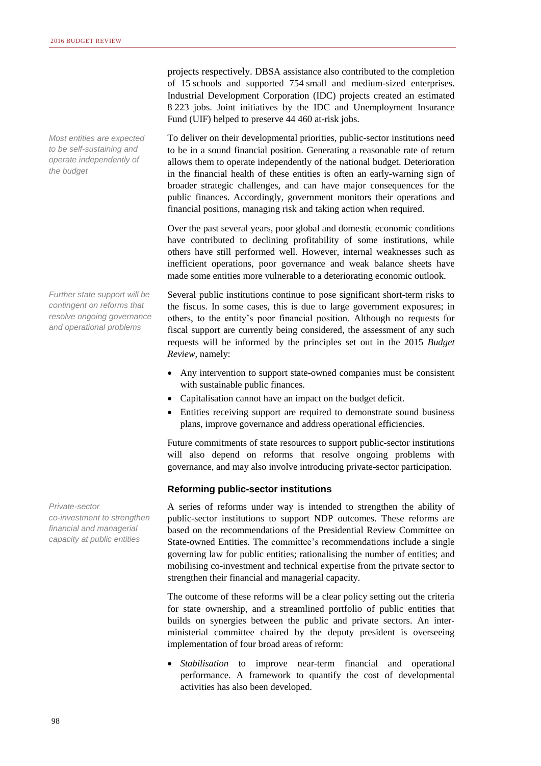*Most entities are expected to be self-sustaining and operate independently of the budget*

*Further state support will be contingent on reforms that resolve ongoing governance and operational problems*

*Private-sector co-investment to strengthen financial and managerial capacity at public entities*

projects respectively. DBSA assistance also contributed to the completion of 15 schools and supported 754 small and medium-sized enterprises. Industrial Development Corporation (IDC) projects created an estimated 8 223 jobs. Joint initiatives by the IDC and Unemployment Insurance Fund (UIF) helped to preserve 44 460 at-risk jobs.

To deliver on their developmental priorities, public-sector institutions need to be in a sound financial position. Generating a reasonable rate of return allows them to operate independently of the national budget. Deterioration in the financial health of these entities is often an early-warning sign of broader strategic challenges, and can have major consequences for the public finances. Accordingly, government monitors their operations and financial positions, managing risk and taking action when required.

Over the past several years, poor global and domestic economic conditions have contributed to declining profitability of some institutions, while others have still performed well. However, internal weaknesses such as inefficient operations, poor governance and weak balance sheets have made some entities more vulnerable to a deteriorating economic outlook.

Several public institutions continue to pose significant short-term risks to the fiscus. In some cases, this is due to large government exposures; in others, to the entity's poor financial position. Although no requests for fiscal support are currently being considered, the assessment of any such requests will be informed by the principles set out in the 2015 *Budget Review,* namely:

- Any intervention to support state-owned companies must be consistent with sustainable public finances.
- Capitalisation cannot have an impact on the budget deficit.
- Entities receiving support are required to demonstrate sound business plans, improve governance and address operational efficiencies.

Future commitments of state resources to support public-sector institutions will also depend on reforms that resolve ongoing problems with governance, and may also involve introducing private-sector participation.

#### **Reforming public-sector institutions**

A series of reforms under way is intended to strengthen the ability of public-sector institutions to support NDP outcomes. These reforms are based on the recommendations of the Presidential Review Committee on State-owned Entities. The committee's recommendations include a single governing law for public entities; rationalising the number of entities; and mobilising co-investment and technical expertise from the private sector to strengthen their financial and managerial capacity.

The outcome of these reforms will be a clear policy setting out the criteria for state ownership, and a streamlined portfolio of public entities that builds on synergies between the public and private sectors. An interministerial committee chaired by the deputy president is overseeing implementation of four broad areas of reform:

 *Stabilisation* to improve near-term financial and operational performance. A framework to quantify the cost of developmental activities has also been developed.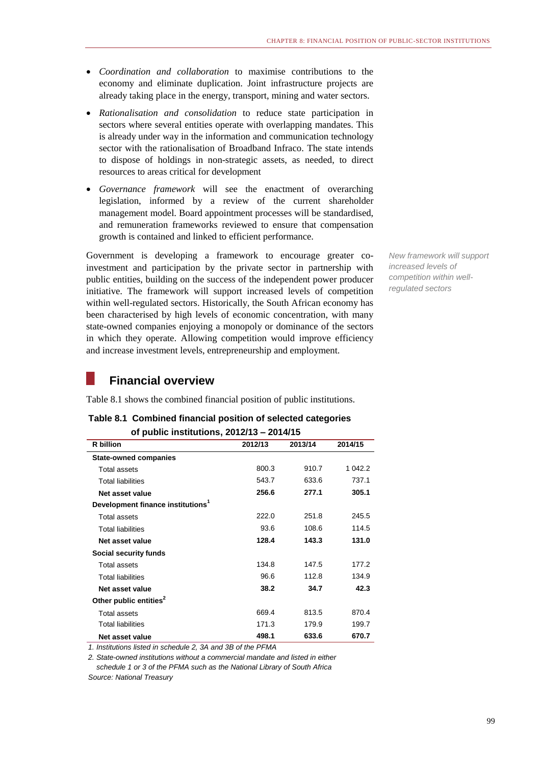- *Coordination and collaboration* to maximise contributions to the economy and eliminate duplication. Joint infrastructure projects are already taking place in the energy, transport, mining and water sectors.
- *Rationalisation and consolidation* to reduce state participation in sectors where several entities operate with overlapping mandates. This is already under way in the information and communication technology sector with the rationalisation of Broadband Infraco. The state intends to dispose of holdings in non-strategic assets, as needed, to direct resources to areas critical for development
- *Governance framework* will see the enactment of overarching legislation, informed by a review of the current shareholder management model. Board appointment processes will be standardised, and remuneration frameworks reviewed to ensure that compensation growth is contained and linked to efficient performance.

Government is developing a framework to encourage greater coinvestment and participation by the private sector in partnership with public entities, building on the success of the independent power producer initiative. The framework will support increased levels of competition within well-regulated sectors. Historically, the South African economy has been characterised by high levels of economic concentration, with many state-owned companies enjoying a monopoly or dominance of the sectors in which they operate. Allowing competition would improve efficiency and increase investment levels, entrepreneurship and employment.

*New framework will support increased levels of competition within wellregulated sectors*

# **Financial overview**

Table 8.1 shows the combined financial position of public institutions.

| Table 8.1 Combined financial position of selected categories |
|--------------------------------------------------------------|
| of public institutions, $2012/13 - 2014/15$                  |

| <b>R</b> billion                              | 2012/13 | 2013/14 | 2014/15 |
|-----------------------------------------------|---------|---------|---------|
| <b>State-owned companies</b>                  |         |         |         |
| Total assets                                  | 800.3   | 910.7   | 1 042.2 |
| <b>Total liabilities</b>                      | 543.7   | 633.6   | 737.1   |
| Net asset value                               | 256.6   | 277.1   | 305.1   |
| Development finance institutions <sup>1</sup> |         |         |         |
| Total assets                                  | 222.0   | 251.8   | 245.5   |
| <b>Total liabilities</b>                      | 93.6    | 108.6   | 114.5   |
| Net asset value                               | 128.4   | 143.3   | 131.0   |
| Social security funds                         |         |         |         |
| Total assets                                  | 134.8   | 147.5   | 177.2   |
| <b>Total liabilities</b>                      | 96.6    | 112.8   | 134.9   |
| Net asset value                               | 38.2    | 34.7    | 42.3    |
| Other public entities <sup>2</sup>            |         |         |         |
| Total assets                                  | 669.4   | 813.5   | 870.4   |
| <b>Total liabilities</b>                      | 171.3   | 179.9   | 199.7   |
| Net asset value                               | 498.1   | 633.6   | 670.7   |

*1. Institutions listed in schedule 2, 3A and 3B of the PFMA*

*2. State-owned institutions without a commercial mandate and listed in either schedule 1 or 3 of the PFMA such as the National Library of South Africa Source: National Treasury*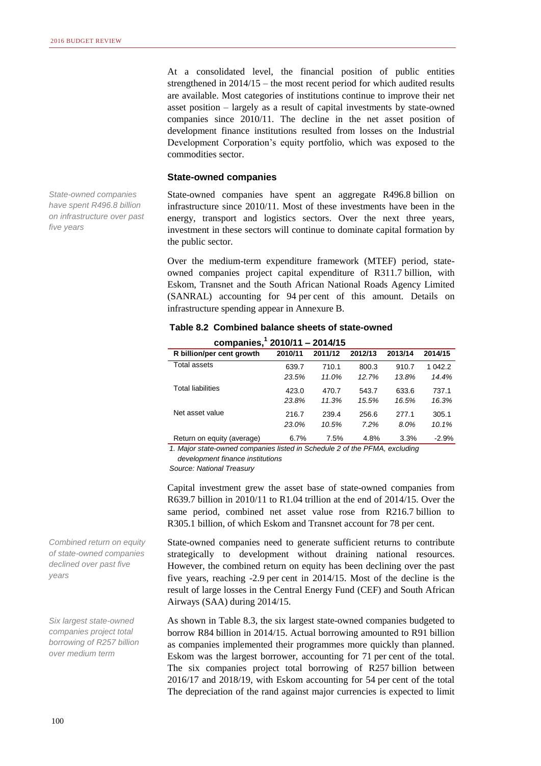*State-owned companies have spent R496.8 billion on infrastructure over past* 

*five years*

At a consolidated level, the financial position of public entities strengthened in 2014/15 – the most recent period for which audited results are available. Most categories of institutions continue to improve their net asset position – largely as a result of capital investments by state-owned companies since 2010/11. The decline in the net asset position of development finance institutions resulted from losses on the Industrial Development Corporation's equity portfolio, which was exposed to the commodities sector.

#### **State-owned companies**

State-owned companies have spent an aggregate R496.8 billion on infrastructure since 2010/11. Most of these investments have been in the energy, transport and logistics sectors. Over the next three years, investment in these sectors will continue to dominate capital formation by the public sector.

Over the medium-term expenditure framework (MTEF) period, stateowned companies project capital expenditure of R311.7 billion, with Eskom, Transnet and the South African National Roads Agency Limited (SANRAL) accounting for 94 per cent of this amount. Details on infrastructure spending appear in Annexure B.

| companies, $12010/11 - 2014/15$ |         |         |         |         |         |  |  |
|---------------------------------|---------|---------|---------|---------|---------|--|--|
| R billion/per cent growth       | 2010/11 | 2011/12 | 2012/13 | 2013/14 | 2014/15 |  |  |
| Total assets                    | 639.7   | 710.1   | 800.3   | 910.7   | 1 042.2 |  |  |
|                                 | 23.5%   | 11.0%   | 12.7%   | 13.8%   | 14.4%   |  |  |
| <b>Total liabilities</b>        | 423.0   | 470.7   | 543.7   | 633.6   | 737.1   |  |  |
|                                 | 23.8%   | 11.3%   | 15.5%   | 16.5%   | 16.3%   |  |  |
| Net asset value                 | 216.7   | 239.4   | 256.6   | 277.1   | 305.1   |  |  |
|                                 | 23.0%   | 10.5%   | 7.2%    | 8.0%    | 10.1%   |  |  |
| Return on equity (average)      | 6.7%    | 7.5%    | 4.8%    | 3.3%    | $-2.9%$ |  |  |

# **Table 8.2 Combined balance sheets of state-owned**

*1. Major state-owned companies listed in Schedule 2 of the PFMA, excluding development finance institutions* 

*Source: National Treasury*

Capital investment grew the asset base of state-owned companies from R639.7 billion in 2010/11 to R1.04 trillion at the end of 2014/15. Over the same period, combined net asset value rose from R216.7 billion to R305.1 billion, of which Eskom and Transnet account for 78 per cent.

State-owned companies need to generate sufficient returns to contribute strategically to development without draining national resources. However, the combined return on equity has been declining over the past five years, reaching -2.9 per cent in 2014/15. Most of the decline is the result of large losses in the Central Energy Fund (CEF) and South African Airways (SAA) during 2014/15.

As shown in Table 8.3, the six largest state-owned companies budgeted to borrow R84 billion in 2014/15. Actual borrowing amounted to R91 billion as companies implemented their programmes more quickly than planned. Eskom was the largest borrower, accounting for 71 per cent of the total. The six companies project total borrowing of R257 billion between 2016/17 and 2018/19, with Eskom accounting for 54 per cent of the total The depreciation of the rand against major currencies is expected to limit

*Combined return on equity of state-owned companies declined over past five years*

*Six largest state-owned companies project total borrowing of R257 billion over medium term*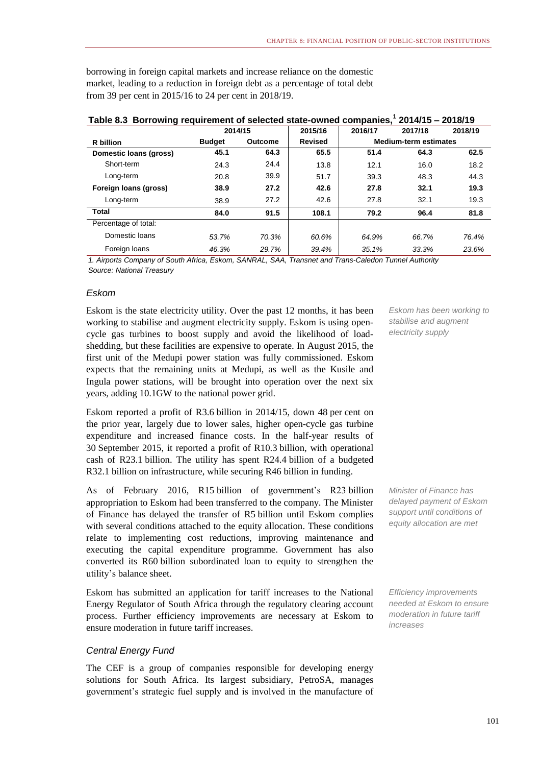borrowing in foreign capital markets and increase reliance on the domestic market, leading to a reduction in foreign debt as a percentage of total debt from 39 per cent in 2015/16 to 24 per cent in 2018/19.

|                        | 2014/15       |                | 2015/16        | 2016/17 | 2017/18                      | 2018/19 |
|------------------------|---------------|----------------|----------------|---------|------------------------------|---------|
| R billion              | <b>Budget</b> | <b>Outcome</b> | <b>Revised</b> |         | <b>Medium-term estimates</b> |         |
| Domestic Ioans (gross) | 45.1          | 64.3           | 65.5           | 51.4    | 64.3                         | 62.5    |
| Short-term             | 24.3          | 24.4           | 13.8           | 12.1    | 16.0                         | 18.2    |
| Long-term              | 20.8          | 39.9           | 51.7           | 39.3    | 48.3                         | 44.3    |
| Foreign loans (gross)  | 38.9          | 27.2           | 42.6           | 27.8    | 32.1                         | 19.3    |
| Long-term              | 38.9          | 27.2           | 42.6           | 27.8    | 32.1                         | 19.3    |
| Total                  | 84.0          | 91.5           | 108.1          | 79.2    | 96.4                         | 81.8    |
| Percentage of total:   |               |                |                |         |                              |         |
| Domestic Ioans         | 53.7%         | 70.3%          | 60.6%          | 64.9%   | 66.7%                        | 76.4%   |
| Foreign loans          | 46.3%         | 29.7%          | 39.4%          | 35.1%   | 33.3%                        | 23.6%   |

### **Table 8.3 Borrowing requirement of selected state-owned companies,<sup>1</sup> 2014/15 – 2018/19**

*1. Airports Company of South Africa, Eskom, SANRAL, SAA, Transnet and Trans-Caledon Tunnel Authority Source: National Treasury*

#### *Eskom*

Eskom is the state electricity utility. Over the past 12 months, it has been working to stabilise and augment electricity supply. Eskom is using opencycle gas turbines to boost supply and avoid the likelihood of loadshedding, but these facilities are expensive to operate. In August 2015, the first unit of the Medupi power station was fully commissioned. Eskom expects that the remaining units at Medupi, as well as the Kusile and Ingula power stations, will be brought into operation over the next six years, adding 10.1GW to the national power grid.

Eskom reported a profit of R3.6 billion in 2014/15, down 48 per cent on the prior year, largely due to lower sales, higher open-cycle gas turbine expenditure and increased finance costs. In the half-year results of 30 September 2015, it reported a profit of R10.3 billion, with operational cash of R23.1 billion. The utility has spent R24.4 billion of a budgeted R32.1 billion on infrastructure, while securing R46 billion in funding.

As of February 2016, R15 billion of government's R23 billion appropriation to Eskom had been transferred to the company. The Minister of Finance has delayed the transfer of R5 billion until Eskom complies with several conditions attached to the equity allocation. These conditions relate to implementing cost reductions, improving maintenance and executing the capital expenditure programme. Government has also converted its R60 billion subordinated loan to equity to strengthen the utility's balance sheet.

Eskom has submitted an application for tariff increases to the National Energy Regulator of South Africa through the regulatory clearing account process. Further efficiency improvements are necessary at Eskom to ensure moderation in future tariff increases.

#### *Central Energy Fund*

The CEF is a group of companies responsible for developing energy solutions for South Africa. Its largest subsidiary, PetroSA, manages government's strategic fuel supply and is involved in the manufacture of *Eskom has been working to stabilise and augment electricity supply*

*Minister of Finance has delayed payment of Eskom support until conditions of equity allocation are met*

*Efficiency improvements needed at Eskom to ensure moderation in future tariff increases*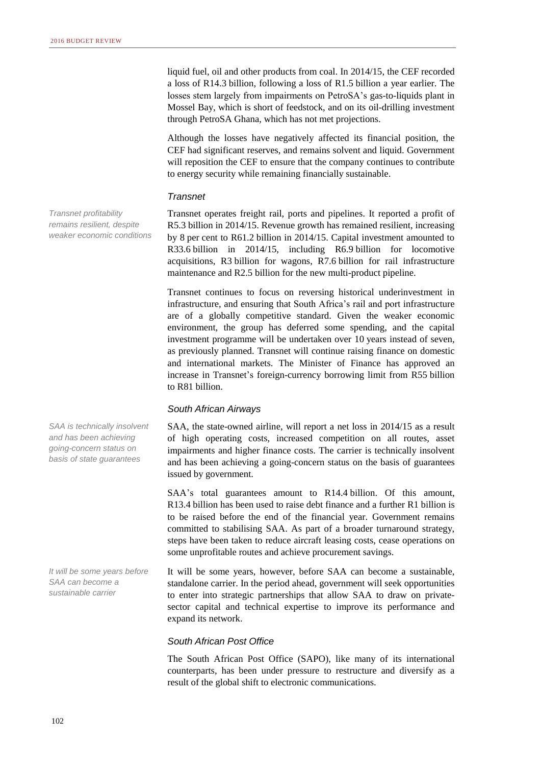liquid fuel, oil and other products from coal. In 2014/15, the CEF recorded a loss of R14.3 billion, following a loss of R1.5 billion a year earlier. The losses stem largely from impairments on PetroSA's gas-to-liquids plant in Mossel Bay, which is short of feedstock, and on its oil-drilling investment through PetroSA Ghana, which has not met projections.

Although the losses have negatively affected its financial position, the CEF had significant reserves, and remains solvent and liquid. Government will reposition the CEF to ensure that the company continues to contribute to energy security while remaining financially sustainable.

#### *Transnet*

Transnet operates freight rail, ports and pipelines. It reported a profit of R5.3 billion in 2014/15. Revenue growth has remained resilient, increasing by 8 per cent to R61.2 billion in 2014/15. Capital investment amounted to R33.6 billion in 2014/15, including R6.9 billion for locomotive acquisitions, R3 billion for wagons, R7.6 billion for rail infrastructure maintenance and R2.5 billion for the new multi-product pipeline.

Transnet continues to focus on reversing historical underinvestment in infrastructure, and ensuring that South Africa's rail and port infrastructure are of a globally competitive standard. Given the weaker economic environment, the group has deferred some spending, and the capital investment programme will be undertaken over 10 years instead of seven, as previously planned. Transnet will continue raising finance on domestic and international markets. The Minister of Finance has approved an increase in Transnet's foreign-currency borrowing limit from R55 billion to R81 billion.

#### *South African Airways*

SAA, the state-owned airline, will report a net loss in 2014/15 as a result of high operating costs, increased competition on all routes, asset impairments and higher finance costs. The carrier is technically insolvent and has been achieving a going-concern status on the basis of guarantees issued by government.

SAA's total guarantees amount to R14.4 billion. Of this amount, R13.4 billion has been used to raise debt finance and a further R1 billion is to be raised before the end of the financial year. Government remains committed to stabilising SAA. As part of a broader turnaround strategy, steps have been taken to reduce aircraft leasing costs, cease operations on some unprofitable routes and achieve procurement savings.

It will be some years, however, before SAA can become a sustainable, standalone carrier. In the period ahead, government will seek opportunities to enter into strategic partnerships that allow SAA to draw on privatesector capital and technical expertise to improve its performance and expand its network.

#### *South African Post Office*

The South African Post Office (SAPO), like many of its international counterparts, has been under pressure to restructure and diversify as a result of the global shift to electronic communications.

*Transnet profitability remains resilient, despite weaker economic conditions*

*SAA is technically insolvent and has been achieving going-concern status on basis of state guarantees*

*It will be some years before SAA can become a sustainable carrier*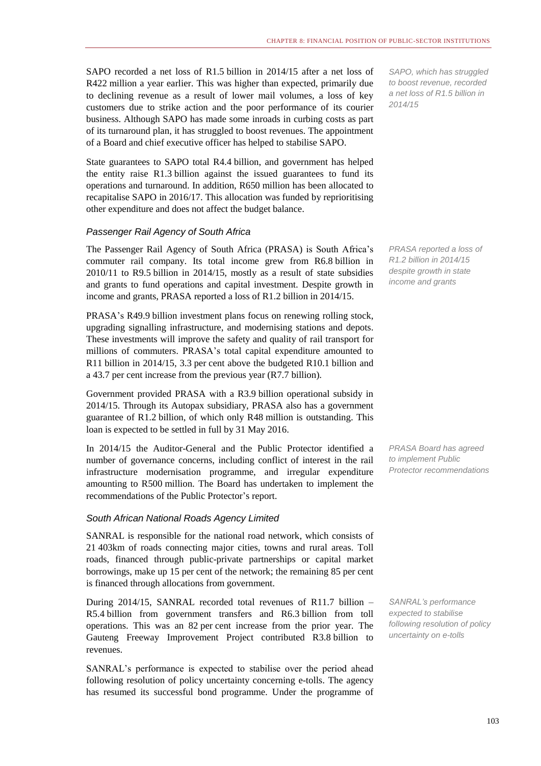SAPO recorded a net loss of R1.5 billion in 2014/15 after a net loss of R422 million a year earlier. This was higher than expected, primarily due to declining revenue as a result of lower mail volumes, a loss of key customers due to strike action and the poor performance of its courier business. Although SAPO has made some inroads in curbing costs as part of its turnaround plan, it has struggled to boost revenues. The appointment of a Board and chief executive officer has helped to stabilise SAPO.

State guarantees to SAPO total R4.4 billion, and government has helped the entity raise R1.3 billion against the issued guarantees to fund its operations and turnaround. In addition, R650 million has been allocated to recapitalise SAPO in 2016/17. This allocation was funded by reprioritising other expenditure and does not affect the budget balance.

#### *Passenger Rail Agency of South Africa*

The Passenger Rail Agency of South Africa (PRASA) is South Africa's commuter rail company. Its total income grew from R6.8 billion in 2010/11 to R9.5 billion in 2014/15, mostly as a result of state subsidies and grants to fund operations and capital investment. Despite growth in income and grants, PRASA reported a loss of R1.2 billion in 2014/15.

PRASA's R49.9 billion investment plans focus on renewing rolling stock, upgrading signalling infrastructure, and modernising stations and depots. These investments will improve the safety and quality of rail transport for millions of commuters. PRASA's total capital expenditure amounted to R11 billion in 2014/15, 3.3 per cent above the budgeted R10.1 billion and a 43.7 per cent increase from the previous year (R7.7 billion).

Government provided PRASA with a R3.9 billion operational subsidy in 2014/15. Through its Autopax subsidiary, PRASA also has a government guarantee of R1.2 billion, of which only R48 million is outstanding. This loan is expected to be settled in full by 31 May 2016.

In 2014/15 the Auditor-General and the Public Protector identified a number of governance concerns, including conflict of interest in the rail infrastructure modernisation programme, and irregular expenditure amounting to R500 million. The Board has undertaken to implement the recommendations of the Public Protector's report.

#### *South African National Roads Agency Limited*

SANRAL is responsible for the national road network, which consists of 21 403km of roads connecting major cities, towns and rural areas. Toll roads, financed through public-private partnerships or capital market borrowings, make up 15 per cent of the network; the remaining 85 per cent is financed through allocations from government.

During 2014/15, SANRAL recorded total revenues of R11.7 billion – R5.4 billion from government transfers and R6.3 billion from toll operations. This was an 82 per cent increase from the prior year. The Gauteng Freeway Improvement Project contributed R3.8 billion to revenues.

SANRAL's performance is expected to stabilise over the period ahead following resolution of policy uncertainty concerning e-tolls. The agency has resumed its successful bond programme. Under the programme of

*SAPO, which has struggled to boost revenue, recorded a net loss of R1.5 billion in 2014/15*

*PRASA reported a loss of R1.2 billion in 2014/15 despite growth in state income and grants*

*PRASA Board has agreed to implement Public Protector recommendations* 

*SANRAL's performance expected to stabilise following resolution of policy uncertainty on e-tolls*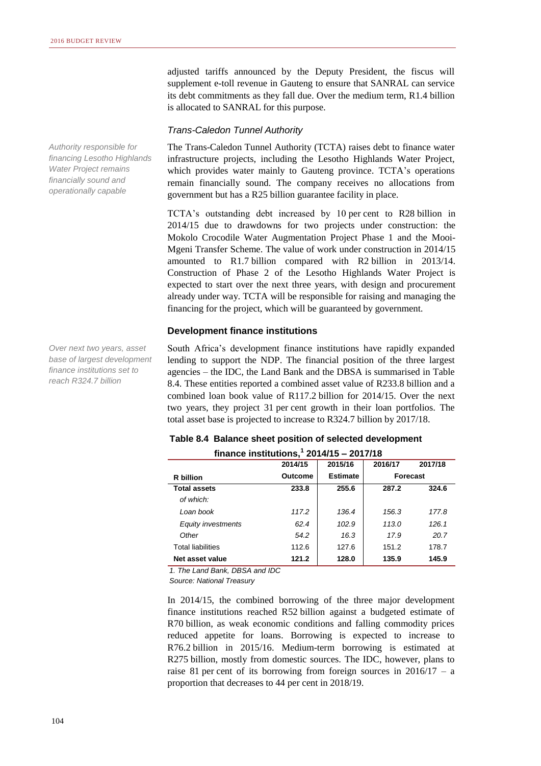adjusted tariffs announced by the Deputy President, the fiscus will supplement e-toll revenue in Gauteng to ensure that SANRAL can service its debt commitments as they fall due. Over the medium term, R1.4 billion is allocated to SANRAL for this purpose.

#### *Trans-Caledon Tunnel Authority*

The Trans-Caledon Tunnel Authority (TCTA) raises debt to finance water infrastructure projects, including the Lesotho Highlands Water Project, which provides water mainly to Gauteng province. TCTA's operations remain financially sound. The company receives no allocations from government but has a R25 billion guarantee facility in place.

TCTA's outstanding debt increased by 10 per cent to R28 billion in 2014/15 due to drawdowns for two projects under construction: the Mokolo Crocodile Water Augmentation Project Phase 1 and the Mooi-Mgeni Transfer Scheme. The value of work under construction in 2014/15 amounted to R1.7 billion compared with R2 billion in 2013/14. Construction of Phase 2 of the Lesotho Highlands Water Project is expected to start over the next three years, with design and procurement already under way. TCTA will be responsible for raising and managing the financing for the project, which will be guaranteed by government.

#### **Development finance institutions**

South Africa's development finance institutions have rapidly expanded lending to support the NDP. The financial position of the three largest agencies – the IDC, the Land Bank and the DBSA is summarised in Table 8.4. These entities reported a combined asset value of R233.8 billion and a combined loan book value of R117.2 billion for 2014/15. Over the next two years, they project 31 per cent growth in their loan portfolios. The total asset base is projected to increase to R324.7 billion by 2017/18.

#### **Table 8.4 Balance sheet position of selected development**

| finance institutions, $1$ 2014/15 - 2017/18 |         |                 |          |         |  |  |  |
|---------------------------------------------|---------|-----------------|----------|---------|--|--|--|
|                                             | 2014/15 | 2015/16         | 2016/17  | 2017/18 |  |  |  |
| R billion                                   | Outcome | <b>Estimate</b> | Forecast |         |  |  |  |
| <b>Total assets</b>                         | 233.8   | 255.6           | 287.2    | 324.6   |  |  |  |
| of which:                                   |         |                 |          |         |  |  |  |
| Loan book                                   | 117.2   | 136.4           | 156.3    | 177.8   |  |  |  |
| <b>Equity investments</b>                   | 62.4    | 102.9           | 113.0    | 126.1   |  |  |  |
| Other                                       | 54.2    | 16.3            | 17.9     | 20.7    |  |  |  |
| <b>Total liabilities</b>                    | 112.6   | 127.6           | 151.2    | 178.7   |  |  |  |
| Net asset value                             | 121.2   | 128.0           | 135.9    | 145.9   |  |  |  |

*1. The Land Bank, DBSA and IDC*

*Source: National Treasury*

In 2014/15, the combined borrowing of the three major development finance institutions reached R52 billion against a budgeted estimate of R70 billion, as weak economic conditions and falling commodity prices reduced appetite for loans. Borrowing is expected to increase to R76.2 billion in 2015/16. Medium-term borrowing is estimated at R275 billion, mostly from domestic sources. The IDC, however, plans to raise 81 per cent of its borrowing from foreign sources in  $2016/17 - a$ proportion that decreases to 44 per cent in 2018/19.

*financing Lesotho Highlands Water Project remains financially sound and operationally capable*

*Authority responsible for* 

*Over next two years, asset base of largest development finance institutions set to reach R324.7 billion*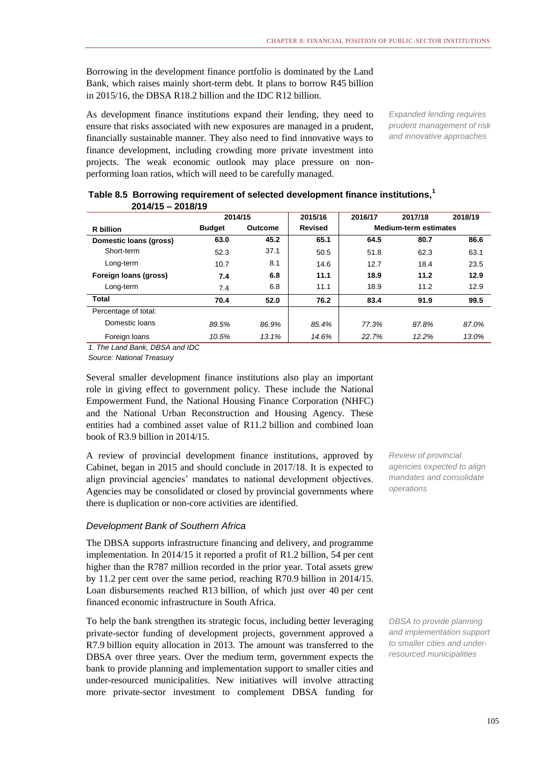Borrowing in the development finance portfolio is dominated by the Land Bank, which raises mainly short-term debt. It plans to borrow R45 billion in 2015/16, the DBSA R18.2 billion and the IDC R12 billion.

As development finance institutions expand their lending, they need to ensure that risks associated with new exposures are managed in a prudent, financially sustainable manner. They also need to find innovative ways to finance development, including crowding more private investment into projects. The weak economic outlook may place pressure on nonperforming loan ratios, which will need to be carefully managed.

*Expanded lending requires prudent management of risk and innovative approaches*

|                        |               | 2014/15 | 2015/16        | 2016/17 | 2017/18                      | 2018/19 |
|------------------------|---------------|---------|----------------|---------|------------------------------|---------|
| <b>R</b> billion       | <b>Budget</b> | Outcome | <b>Revised</b> |         | <b>Medium-term estimates</b> |         |
| Domestic loans (gross) | 63.0          | 45.2    | 65.1           | 64.5    | 80.7                         | 86.6    |
| Short-term             | 52.3          | 37.1    | 50.5           | 51.8    | 62.3                         | 63.1    |
| Long-term              | 10.7          | 8.1     | 14.6           | 12.7    | 18.4                         | 23.5    |
| Foreign loans (gross)  | 7.4           | 6.8     | 11.1           | 18.9    | 11.2                         | 12.9    |
| Long-term              | 7.4           | 6.8     | 11.1           | 18.9    | 11.2                         | 12.9    |
| <b>Total</b>           | 70.4          | 52.0    | 76.2           | 83.4    | 91.9                         | 99.5    |
| Percentage of total:   |               |         |                |         |                              |         |
| Domestic loans         | 89.5%         | 86.9%   | 85.4%          | 77.3%   | 87.8%                        | 87.0%   |
| Foreign loans          | 10.5%         | 13.1%   | 14.6%          | 22.7%   | 12.2%                        | 13.0%   |

#### **Table 8.5 Borrowing requirement of selected development finance institutions,<sup>1</sup> 2014/15 – 2018/19**

*1. The Land Bank, DBSA and IDC*

*Source: National Treasury*

Several smaller development finance institutions also play an important role in giving effect to government policy. These include the National Empowerment Fund, the National Housing Finance Corporation (NHFC) and the National Urban Reconstruction and Housing Agency. These entities had a combined asset value of R11.2 billion and combined loan book of R3.9 billion in 2014/15.

A review of provincial development finance institutions, approved by Cabinet, began in 2015 and should conclude in 2017/18. It is expected to align provincial agencies' mandates to national development objectives. Agencies may be consolidated or closed by provincial governments where there is duplication or non-core activities are identified.

#### *Development Bank of Southern Africa*

The DBSA supports infrastructure financing and delivery, and programme implementation. In 2014/15 it reported a profit of R1.2 billion, 54 per cent higher than the R787 million recorded in the prior year. Total assets grew by 11.2 per cent over the same period, reaching R70.9 billion in 2014/15. Loan disbursements reached R13 billion, of which just over 40 per cent financed economic infrastructure in South Africa.

To help the bank strengthen its strategic focus, including better leveraging private-sector funding of development projects, government approved a R7.9 billion equity allocation in 2013. The amount was transferred to the DBSA over three years. Over the medium term, government expects the bank to provide planning and implementation support to smaller cities and under-resourced municipalities. New initiatives will involve attracting more private-sector investment to complement DBSA funding for

*Review of provincial agencies expected to align mandates and consolidate operations*

*DBSA to provide planning and implementation support to smaller cities and underresourced municipalities*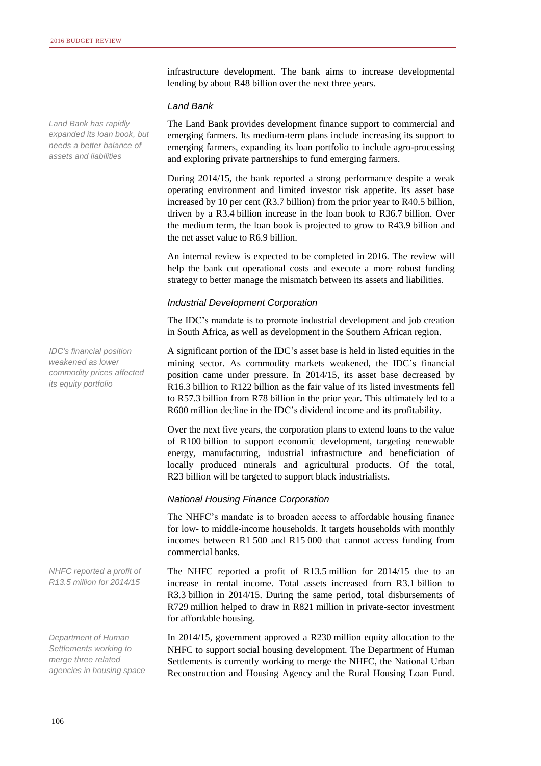*Land Bank has rapidly expanded its loan book, but needs a better balance of assets and liabilities*

infrastructure development. The bank aims to increase developmental lending by about R48 billion over the next three years.

#### *Land Bank*

The Land Bank provides development finance support to commercial and emerging farmers. Its medium-term plans include increasing its support to emerging farmers, expanding its loan portfolio to include agro-processing and exploring private partnerships to fund emerging farmers.

During 2014/15, the bank reported a strong performance despite a weak operating environment and limited investor risk appetite. Its asset base increased by 10 per cent (R3.7 billion) from the prior year to R40.5 billion, driven by a R3.4 billion increase in the loan book to R36.7 billion. Over the medium term, the loan book is projected to grow to R43.9 billion and the net asset value to R6.9 billion.

An internal review is expected to be completed in 2016. The review will help the bank cut operational costs and execute a more robust funding strategy to better manage the mismatch between its assets and liabilities.

#### *Industrial Development Corporation*

The IDC's mandate is to promote industrial development and job creation in South Africa, as well as development in the Southern African region.

A significant portion of the IDC's asset base is held in listed equities in the mining sector. As commodity markets weakened, the IDC's financial position came under pressure. In 2014/15, its asset base decreased by R16.3 billion to R122 billion as the fair value of its listed investments fell to R57.3 billion from R78 billion in the prior year. This ultimately led to a R600 million decline in the IDC's dividend income and its profitability.

Over the next five years, the corporation plans to extend loans to the value of R100 billion to support economic development, targeting renewable energy, manufacturing, industrial infrastructure and beneficiation of locally produced minerals and agricultural products. Of the total, R23 billion will be targeted to support black industrialists.

#### *National Housing Finance Corporation*

The NHFC's mandate is to broaden access to affordable housing finance for low- to middle-income households. It targets households with monthly incomes between R1 500 and R15 000 that cannot access funding from commercial banks.

The NHFC reported a profit of R13.5 million for 2014/15 due to an increase in rental income. Total assets increased from R3.1 billion to R3.3 billion in 2014/15. During the same period, total disbursements of R729 million helped to draw in R821 million in private-sector investment for affordable housing.

In 2014/15, government approved a R230 million equity allocation to the NHFC to support social housing development. The Department of Human Settlements is currently working to merge the NHFC, the National Urban Reconstruction and Housing Agency and the Rural Housing Loan Fund.

*IDC's financial position weakened as lower commodity prices affected* 

*its equity portfolio*

*NHFC reported a profit of R13.5 million for 2014/15*

*Department of Human Settlements working to merge three related agencies in housing space*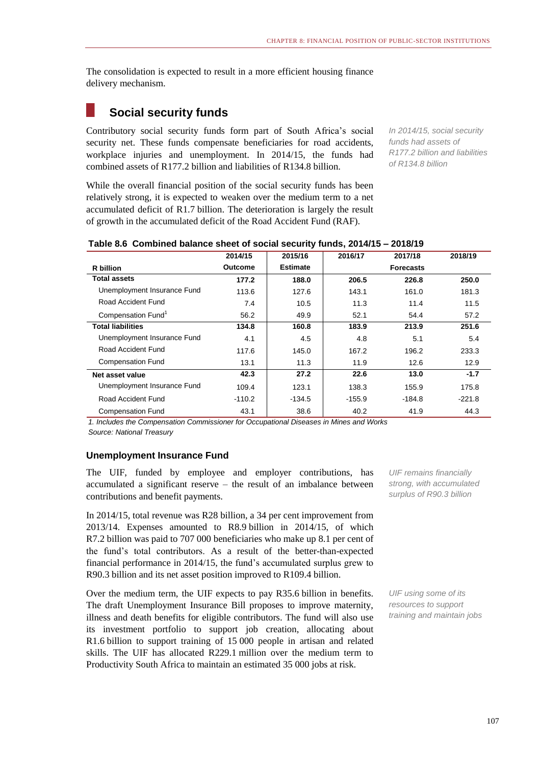The consolidation is expected to result in a more efficient housing finance delivery mechanism.

# **Social security funds**

Contributory social security funds form part of South Africa's social security net. These funds compensate beneficiaries for road accidents, workplace injuries and unemployment. In 2014/15, the funds had combined assets of R177.2 billion and liabilities of R134.8 billion.

While the overall financial position of the social security funds has been relatively strong, it is expected to weaken over the medium term to a net accumulated deficit of R1.7 billion. The deterioration is largely the result of growth in the accumulated deficit of the Road Accident Fund (RAF).

*In 2014/15, social security funds had assets of R177.2 billion and liabilities of R134.8 billion*

| Table 8.6 Combined balance sheet of social security funds, 2014/15 - 2018/19 |                |          |            |  |
|------------------------------------------------------------------------------|----------------|----------|------------|--|
| <b>OOA AIAE</b>                                                              | <b>OOAEIAC</b> | $304047$ | $0.047140$ |  |

|                                                        | 2014/15                                  | 2015/16                        | 2016/17  | 2017/18          | 2018/19  |
|--------------------------------------------------------|------------------------------------------|--------------------------------|----------|------------------|----------|
| R billion                                              | <b>Outcome</b>                           | <b>Estimate</b>                |          | <b>Forecasts</b> |          |
| <b>Total assets</b>                                    | 177.2                                    | 188.0                          | 206.5    | 226.8            | 250.0    |
| Unemployment Insurance Fund                            | 113.6                                    | 127.6                          | 143.1    | 161.0            | 181.3    |
| Road Accident Fund                                     | 7.4                                      | 10.5                           | 11.3     | 11.4             | 11.5     |
| Compensation Fund <sup>1</sup>                         | 56.2                                     | 49.9                           | 52.1     | 54.4             | 57.2     |
| <b>Total liabilities</b>                               | 134.8                                    | 160.8                          | 183.9    | 213.9            | 251.6    |
| Unemployment Insurance Fund                            | 4.1                                      | 4.5                            | 4.8      | 5.1              | 5.4      |
| Road Accident Fund                                     | 117.6                                    | 145.0                          | 167.2    | 196.2            | 233.3    |
| <b>Compensation Fund</b>                               | 13.1                                     | 11.3                           | 11.9     | 12.6             | 12.9     |
| Net asset value                                        | 42.3                                     | 27.2                           | 22.6     | 13.0             | $-1.7$   |
| Unemployment Insurance Fund                            | 109.4                                    | 123.1                          | 138.3    | 155.9            | 175.8    |
| Road Accident Fund                                     | $-110.2$                                 | $-134.5$                       | $-155.9$ | -184.8           | $-221.8$ |
| <b>Compensation Fund</b><br>$\cdot$ $\sim$<br>$\cdots$ | 43.1<br>$\cdot$ $\cdot$<br>$\sim$ $\sim$ | 38.6<br>$\cdot$ $\sim$ $\cdot$ | 40.2     | 41.9             | 44.3     |

*1. Includes the Compensation Commissioner for Occupational Diseases in Mines and Works Source: National Treasury*

#### **Unemployment Insurance Fund**

The UIF, funded by employee and employer contributions, has accumulated a significant reserve – the result of an imbalance between contributions and benefit payments.

In 2014/15, total revenue was R28 billion, a 34 per cent improvement from 2013/14. Expenses amounted to R8.9 billion in 2014/15, of which R7.2 billion was paid to 707 000 beneficiaries who make up 8.1 per cent of the fund's total contributors. As a result of the better-than-expected financial performance in 2014/15, the fund's accumulated surplus grew to R90.3 billion and its net asset position improved to R109.4 billion.

Over the medium term, the UIF expects to pay R35.6 billion in benefits. The draft Unemployment Insurance Bill proposes to improve maternity, illness and death benefits for eligible contributors. The fund will also use its investment portfolio to support job creation, allocating about R1.6 billion to support training of 15 000 people in artisan and related skills. The UIF has allocated R229.1 million over the medium term to Productivity South Africa to maintain an estimated 35 000 jobs at risk.

*UIF remains financially strong, with accumulated surplus of R90.3 billion*

*UIF using some of its resources to support training and maintain jobs*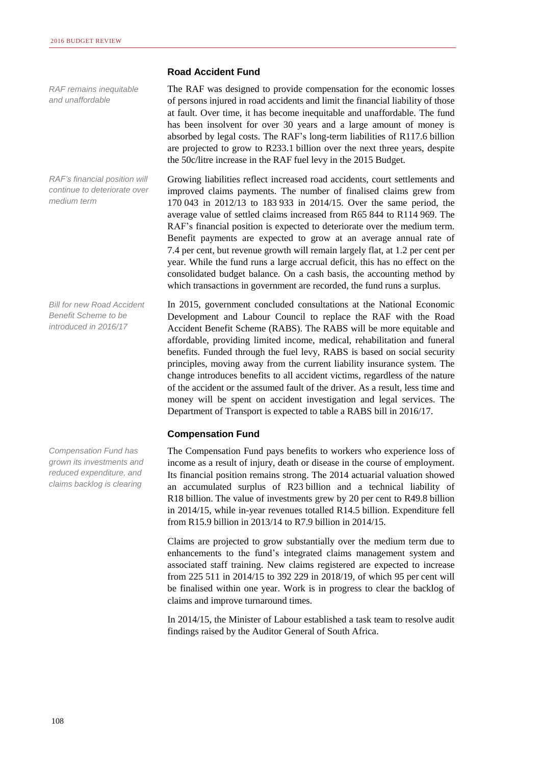*RAF remains inequitable and unaffordable*

*RAF's financial position will continue to deteriorate over medium term*

*Bill for new Road Accident Benefit Scheme to be introduced in 2016/17*

*Compensation Fund has grown its investments and reduced expenditure, and claims backlog is clearing*

#### **Road Accident Fund**

The RAF was designed to provide compensation for the economic losses of persons injured in road accidents and limit the financial liability of those at fault. Over time, it has become inequitable and unaffordable. The fund has been insolvent for over 30 years and a large amount of money is absorbed by legal costs. The RAF's long-term liabilities of R117.6 billion are projected to grow to R233.1 billion over the next three years, despite the 50c/litre increase in the RAF fuel levy in the 2015 Budget.

Growing liabilities reflect increased road accidents, court settlements and improved claims payments. The number of finalised claims grew from 170 043 in 2012/13 to 183 933 in 2014/15. Over the same period, the average value of settled claims increased from R65 844 to R114 969. The RAF's financial position is expected to deteriorate over the medium term. Benefit payments are expected to grow at an average annual rate of 7.4 per cent, but revenue growth will remain largely flat, at 1.2 per cent per year. While the fund runs a large accrual deficit, this has no effect on the consolidated budget balance. On a cash basis, the accounting method by which transactions in government are recorded, the fund runs a surplus.

In 2015, government concluded consultations at the National Economic Development and Labour Council to replace the RAF with the Road Accident Benefit Scheme (RABS). The RABS will be more equitable and affordable, providing limited income, medical, rehabilitation and funeral benefits. Funded through the fuel levy, RABS is based on social security principles, moving away from the current liability insurance system. The change introduces benefits to all accident victims, regardless of the nature of the accident or the assumed fault of the driver. As a result, less time and money will be spent on accident investigation and legal services. The Department of Transport is expected to table a RABS bill in 2016/17.

#### **Compensation Fund**

The Compensation Fund pays benefits to workers who experience loss of income as a result of injury, death or disease in the course of employment. Its financial position remains strong. The 2014 actuarial valuation showed an accumulated surplus of R23 billion and a technical liability of R18 billion. The value of investments grew by 20 per cent to R49.8 billion in 2014/15, while in-year revenues totalled R14.5 billion. Expenditure fell from R15.9 billion in 2013/14 to R7.9 billion in 2014/15.

Claims are projected to grow substantially over the medium term due to enhancements to the fund's integrated claims management system and associated staff training. New claims registered are expected to increase from 225 511 in 2014/15 to 392 229 in 2018/19, of which 95 per cent will be finalised within one year. Work is in progress to clear the backlog of claims and improve turnaround times.

In 2014/15, the Minister of Labour established a task team to resolve audit findings raised by the Auditor General of South Africa.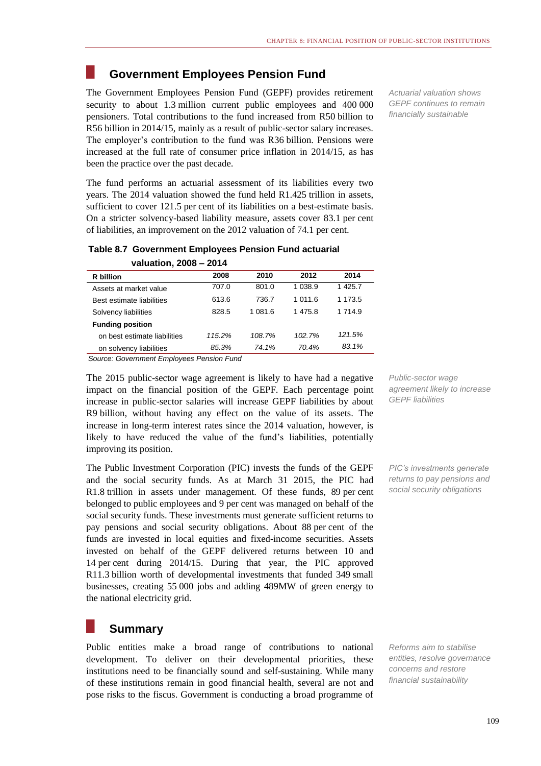## **Government Employees Pension Fund**

The Government Employees Pension Fund (GEPF) provides retirement security to about 1.3 million current public employees and 400 000 pensioners. Total contributions to the fund increased from R50 billion to R56 billion in 2014/15, mainly as a result of public-sector salary increases. The employer's contribution to the fund was R36 billion. Pensions were increased at the full rate of consumer price inflation in 2014/15, as has been the practice over the past decade.

The fund performs an actuarial assessment of its liabilities every two years. The 2014 valuation showed the fund held R1.425 trillion in assets, sufficient to cover 121.5 per cent of its liabilities on a best-estimate basis. On a stricter solvency-based liability measure, assets cover 83.1 per cent of liabilities, an improvement on the 2012 valuation of 74.1 per cent.

| Table 8.7 Government Employees Pension Fund actuarial |
|-------------------------------------------------------|
| valuation $2008 - 2014$                               |

| R billion                    | 2008   | 2010    | 2012      | 2014      |
|------------------------------|--------|---------|-----------|-----------|
| Assets at market value       | 707.0  | 801.0   | 1 0 3 8.9 | 1 425.7   |
| Best estimate liabilities    | 613.6  | 736.7   | 1 011.6   | 1 173.5   |
| Solvency liabilities         | 828.5  | 1 081.6 | 1475.8    | 1 7 1 4 9 |
| <b>Funding position</b>      |        |         |           |           |
| on best estimate liabilities | 115.2% | 108.7%  | 102.7%    | 121.5%    |
| on solvency liabilities      | 85.3%  | 74.1%   | 70.4%     | 83.1%     |

*Source: Government Employees Pension Fund*

The 2015 public-sector wage agreement is likely to have had a negative impact on the financial position of the GEPF. Each percentage point increase in public-sector salaries will increase GEPF liabilities by about R9 billion, without having any effect on the value of its assets. The increase in long-term interest rates since the 2014 valuation, however, is likely to have reduced the value of the fund's liabilities, potentially improving its position.

The Public Investment Corporation (PIC) invests the funds of the GEPF and the social security funds. As at March 31 2015, the PIC had R1.8 trillion in assets under management. Of these funds, 89 per cent belonged to public employees and 9 per cent was managed on behalf of the social security funds. These investments must generate sufficient returns to pay pensions and social security obligations. About 88 per cent of the funds are invested in local equities and fixed-income securities. Assets invested on behalf of the GEPF delivered returns between 10 and 14 per cent during 2014/15. During that year, the PIC approved R11.3 billion worth of developmental investments that funded 349 small businesses, creating 55 000 jobs and adding 489MW of green energy to the national electricity grid.

# **Summary**

Public entities make a broad range of contributions to national development. To deliver on their developmental priorities, these institutions need to be financially sound and self-sustaining. While many of these institutions remain in good financial health, several are not and pose risks to the fiscus. Government is conducting a broad programme of

*Actuarial valuation shows GEPF continues to remain financially sustainable*

*Public-sector wage agreement likely to increase GEPF liabilities*

*PIC's investments generate returns to pay pensions and social security obligations*

*Reforms aim to stabilise entities, resolve governance concerns and restore financial sustainability*